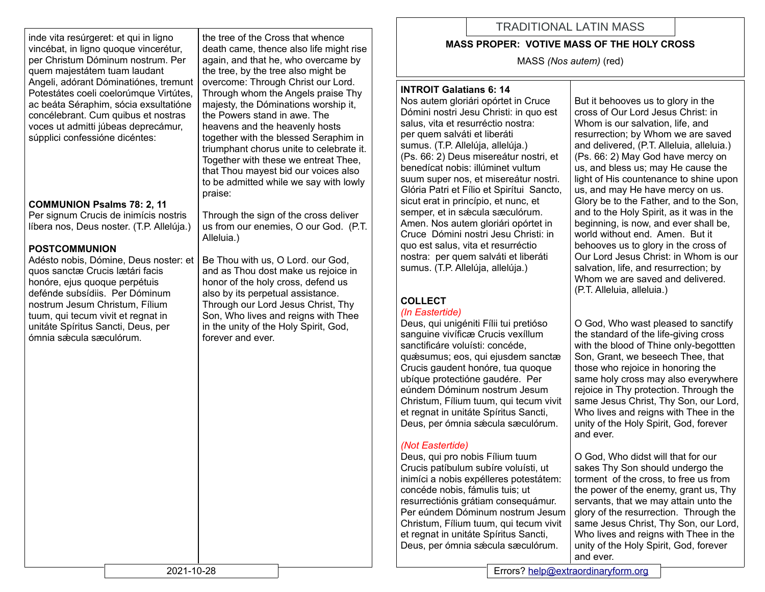inde vita resúrgeret: et qui in ligno vincébat, in ligno quoque vincerétur, per Christum Dóminum nostrum. Per quem majestátem tuam laudant Angeli, adórant Dóminatiónes, tremunt Potestátes coeli coelorúmque Virtútes. ac beáta Séraphim, sócia exsultatióne concélebrant. Cum quibus et nostras voces ut admitti júbeas deprecámur, súpplici confessióne dicéntes:

#### **COMMUNION Psalms 78: 2, 11**

Per signum Crucis de inimícis nostris líbera nos, Deus noster. (T.P. Allelúja.)

### **POSTCOMMUNION**

Adésto nobis, Dómine, Deus noster: et quos sanctæ Crucis lætári facis honóre, ejus quoque perpétuis defénde subsídiis. Per Dóminum nostrum Jesum Christum, Fílium tuum, qui tecum vivit et regnat in unitáte Spíritus Sancti, Deus, per ómnia sǽcula sæculórum.

the tree of the Cross that whence death came, thence also life might rise again, and that he, who overcame by the tree, by the tree also might be overcome: Through Christ our Lord. Through whom the Angels praise Thy majesty, the Dóminations worship it, the Powers stand in awe. The heavens and the heavenly hosts together with the blessed Seraphim in triumphant chorus unite to celebrate it. Together with these we entreat Thee, that Thou mayest bid our voices also to be admitted while we say with lowly praise:

Through the sign of the cross deliver us from our enemies, O our God. (P.T. Alleluia.)

Be Thou with us, O Lord. our God, and as Thou dost make us rejoice in honor of the holy cross, defend us also by its perpetual assistance. Through our Lord Jesus Christ, Thy Son, Who lives and reigns with Thee in the unity of the Holy Spirit, God, forever and ever.

# TRADITIONAL LATIN MASS

### **MASS PROPER: VOTIVE MASS OF THE HOLY CROSS**

MASS *(Nos autem)* (red)

## **INTROIT Galatians 6: 14**

Nos autem gloriári opórtet in Cruce Dómini nostri Jesu Christi: in quo est salus, vita et resurréctio nostra: per quem salváti et liberáti sumus. (T.P. Allelúja, allelúja.) (Ps. 66: 2) Deus misereátur nostri, et benedícat nobis: illúminet vultum suum super nos, et misereátur nostri. Glória Patri et Fílio et Spirítui Sancto, sicut erat in princípio, et nunc, et semper, et in sæcula sæculórum. Amen. Nos autem gloriári opórtet in Cruce Dómini nostri Jesu Christi: in quo est salus, vita et resurréctio nostra: per quem salváti et liberáti sumus. (T.P. Allelúja, allelúja.)

#### **COLLECT**  *(In Eastertide)*

#### Deus, qui unigéniti Fílii tui pretióso sanguine vivíficæ Crucis vexíllum sanctificáre voluísti: concéde, quǽsumus; eos, qui ejusdem sanctæ Crucis gaudent honóre, tua quoque ubíque protectióne gaudére. Per eúndem Dóminum nostrum Jesum Christum, Fílium tuum, qui tecum vivit et regnat in unitáte Spíritus Sancti, Deus, per ómnia sǽcula sæculórum.

## *(Not Eastertide)*

Deus, qui pro nobis Fílium tuum Crucis patíbulum subíre voluísti, ut inimíci a nobis expélleres potestátem: concéde nobis, fámulis tuis; ut resurrectiónis grátiam consequámur. Per eúndem Dóminum nostrum Jesum Christum, Fílium tuum, qui tecum vivit et regnat in unitáte Spíritus Sancti, Deus, per ómnia sǽcula sæculórum.

But it behooves us to glory in the cross of Our Lord Jesus Christ: in Whom is our salvation, life, and resurrection; by Whom we are saved and delivered, (P.T. Alleluia, alleluia.) (Ps. 66: 2) May God have mercy on us, and bless us; may He cause the light of His countenance to shine upon us, and may He have mercy on us. Glory be to the Father, and to the Son, and to the Holy Spirit, as it was in the beginning, is now, and ever shall be, world without end. Amen. But it behooves us to glory in the cross of Our Lord Jesus Christ: in Whom is our salvation, life, and resurrection; by Whom we are saved and delivered. (P.T. Alleluia, alleluia.)

O God, Who wast pleased to sanctify the standard of the life-giving cross with the blood of Thine only-begottten Son, Grant, we beseech Thee, that those who rejoice in honoring the same holy cross may also everywhere rejoice in Thy protection. Through the same Jesus Christ, Thy Son, our Lord, Who lives and reigns with Thee in the unity of the Holy Spirit, God, forever and ever.

O God, Who didst will that for our sakes Thy Son should undergo the torment of the cross, to free us from the power of the enemy, grant us, Thy servants, that we may attain unto the glory of the resurrection. Through the same Jesus Christ, Thy Son, our Lord, Who lives and reigns with Thee in the unity of the Holy Spirit, God, forever and ever.